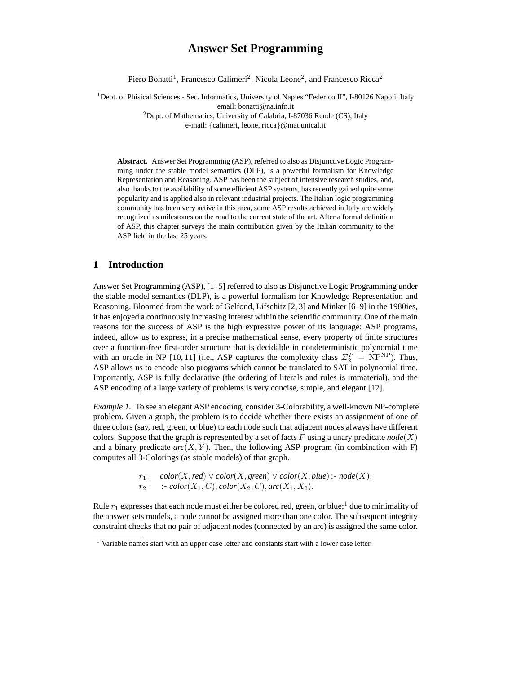# **Answer Set Programming**

Piero Bonatti<sup>1</sup>, Francesco Calimeri<sup>2</sup>, Nicola Leone<sup>2</sup>, and Francesco Ricca<sup>2</sup>

 $1$ Dept. of Phisical Sciences - Sec. Informatics, University of Naples "Federico II", I-80126 Napoli, Italy email: bonatti@na.infn.it

> <sup>2</sup>Dept. of Mathematics, University of Calabria, I-87036 Rende (CS), Italy e-mail: {calimeri, leone, ricca}@mat.unical.it

**Abstract.** Answer Set Programming (ASP), referred to also as Disjunctive Logic Programming under the stable model semantics (DLP), is a powerful formalism for Knowledge Representation and Reasoning. ASP has been the subject of intensive research studies, and, also thanks to the availability of some efficient ASP systems, has recently gained quite some popularity and is applied also in relevant industrial projects. The Italian logic programming community has been very active in this area, some ASP results achieved in Italy are widely recognized as milestones on the road to the current state of the art. After a formal definition of ASP, this chapter surveys the main contribution given by the Italian community to the ASP field in the last 25 years.

# **1 Introduction**

Answer Set Programming (ASP), [1–5] referred to also as Disjunctive Logic Programming under the stable model semantics (DLP), is a powerful formalism for Knowledge Representation and Reasoning. Bloomed from the work of Gelfond, Lifschitz [2, 3] and Minker [6–9] in the 1980ies, it has enjoyed a continuously increasing interest within the scientific community. One of the main reasons for the success of ASP is the high expressive power of its language: ASP programs, indeed, allow us to express, in a precise mathematical sense, every property of finite structures over a function-free first-order structure that is decidable in nondeterministic polynomial time with an oracle in NP [10, 11] (i.e., ASP captures the complexity class  $\Sigma_2^P = \text{NP}^{\text{NP}}$ ). Thus, ASP allows us to encode also programs which cannot be translated to SAT in polynomial time. Importantly, ASP is fully declarative (the ordering of literals and rules is immaterial), and the ASP encoding of a large variety of problems is very concise, simple, and elegant [12].

*Example 1.* To see an elegant ASP encoding, consider 3-Colorability, a well-known NP-complete problem. Given a graph, the problem is to decide whether there exists an assignment of one of three colors (say, red, green, or blue) to each node such that adjacent nodes always have different colors. Suppose that the graph is represented by a set of facts  $F$  using a unary predicate  $node(X)$ and a binary predicate  $arc(X, Y)$ . Then, the following ASP program (in combination with F) computes all 3-Colorings (as stable models) of that graph.

> $r_1: \quad \text{color}(X,\text{red}) \vee \text{color}(X,\text{green}) \vee \text{color}(X,\text{blue}): \text{-} \text{node}(X).$  $r_2$  :  $\therefore$  *color*( $X_1$ , C), *color*( $X_2$ , C), *arc*( $X_1$ ,  $X_2$ ).

Rule  $r_1$  expresses that each node must either be colored red, green, or blue;<sup>1</sup> due to minimality of the answer sets models, a node cannot be assigned more than one color. The subsequent integrity constraint checks that no pair of adjacent nodes (connected by an arc) is assigned the same color.

<sup>&</sup>lt;sup>1</sup> Variable names start with an upper case letter and constants start with a lower case letter.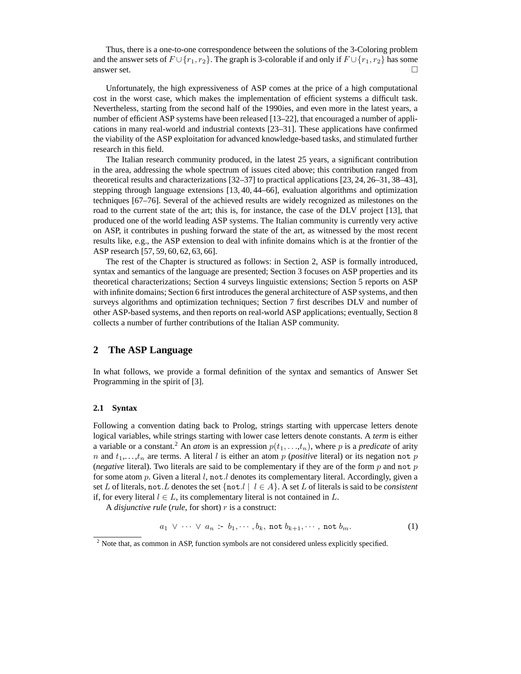Thus, there is a one-to-one correspondence between the solutions of the 3-Coloring problem and the answer sets of  $F \cup \{r_1, r_2\}$ . The graph is 3-colorable if and only if  $F \cup \{r_1, r_2\}$  has some answer set.  $\Box$ 

Unfortunately, the high expressiveness of ASP comes at the price of a high computational cost in the worst case, which makes the implementation of efficient systems a difficult task. Nevertheless, starting from the second half of the 1990ies, and even more in the latest years, a number of efficient ASP systems have been released [13–22], that encouraged a number of applications in many real-world and industrial contexts [23–31]. These applications have confirmed the viability of the ASP exploitation for advanced knowledge-based tasks, and stimulated further research in this field.

The Italian research community produced, in the latest 25 years, a significant contribution in the area, addressing the whole spectrum of issues cited above; this contribution ranged from theoretical results and characterizations [32–37] to practical applications [23, 24, 26–31, 38–43], stepping through language extensions [13, 40, 44–66], evaluation algorithms and optimization techniques [67–76]. Several of the achieved results are widely recognized as milestones on the road to the current state of the art; this is, for instance, the case of the DLV project [13], that produced one of the world leading ASP systems. The Italian community is currently very active on ASP, it contributes in pushing forward the state of the art, as witnessed by the most recent results like, e.g., the ASP extension to deal with infinite domains which is at the frontier of the ASP research [57, 59, 60, 62, 63, 66].

The rest of the Chapter is structured as follows: in Section 2, ASP is formally introduced, syntax and semantics of the language are presented; Section 3 focuses on ASP properties and its theoretical characterizations; Section 4 surveys linguistic extensions; Section 5 reports on ASP with infinite domains; Section 6 first introduces the general architecture of ASP systems, and then surveys algorithms and optimization techniques; Section 7 first describes DLV and number of other ASP-based systems, and then reports on real-world ASP applications; eventually, Section 8 collects a number of further contributions of the Italian ASP community.

# **2 The ASP Language**

In what follows, we provide a formal definition of the syntax and semantics of Answer Set Programming in the spirit of [3].

#### **2.1 Syntax**

Following a convention dating back to Prolog, strings starting with uppercase letters denote logical variables, while strings starting with lower case letters denote constants. A *term* is either a variable or a constant.<sup>2</sup> An *atom* is an expression  $p(t_1, \ldots, t_n)$ , where p is a *predicate* of arity n and  $t_1, \ldots, t_n$  are terms. A literal l is either an atom p (*positive* literal) or its negation not p (*negative* literal). Two literals are said to be complementary if they are of the form p and not p for some atom p. Given a literal  $l$ , not.  $l$  denotes its complementary literal. Accordingly, given a set L of literals, not. L denotes the set {not.*l* |  $l \in A$ }. A set L of literals is said to be *consistent* if, for every literal  $l \in L$ , its complementary literal is not contained in L.

A *disjunctive rule* (*rule*, for short) r is a construct:

$$
a_1 \vee \cdots \vee a_n := b_1, \cdots, b_k, \text{ not } b_{k+1}, \cdots, \text{ not } b_m.
$$
 (1)

<sup>&</sup>lt;sup>2</sup> Note that, as common in ASP, function symbols are not considered unless explicitly specified.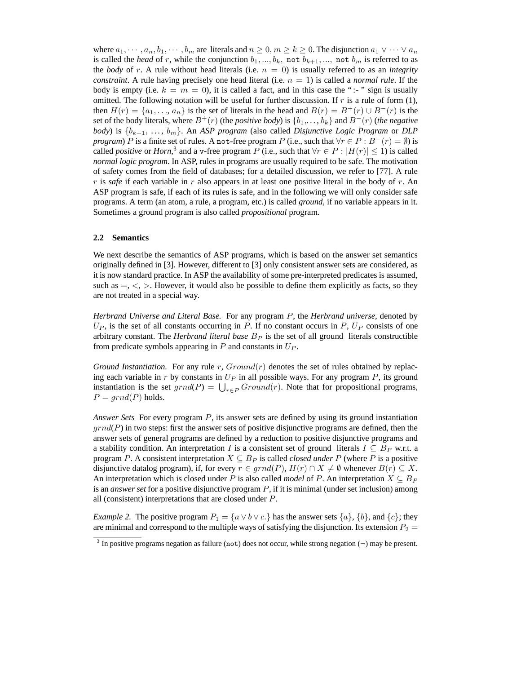where  $a_1, \dots, a_n, b_1, \dots, b_m$  are literals and  $n \geq 0, m \geq k \geq 0$ . The disjunction  $a_1 \vee \dots \vee a_n$ is called the *head* of r, while the conjunction  $b_1, ..., b_k$ , not  $b_{k+1}, ...,$  not  $b_m$  is referred to as the *body* of r. A rule without head literals (i.e.  $n = 0$ ) is usually referred to as an *integrity constraint*. A rule having precisely one head literal (i.e.  $n = 1$ ) is called a *normal rule*. If the body is empty (i.e.  $k = m = 0$ ), it is called a fact, and in this case the ":-" sign is usually omitted. The following notation will be useful for further discussion. If  $r$  is a rule of form (1), then  $H(r) = \{a_1, \ldots, a_n\}$  is the set of literals in the head and  $B(r) = B^+(r) \cup B^-(r)$  is the set of the body literals, where  $B^{+}(r)$  (the *positive body*) is  $\{b_1, \ldots, b_k\}$  and  $B^{-}(r)$  (*the negative body*) is  $\{b_{k+1}, \ldots, b_m\}$ . An *ASP program* (also called *Disjunctive Logic Program* or *DLP program*) P is a finite set of rules. A not-free program P (i.e., such that  $\forall r \in P : B^-(r) = \emptyset$ ) is called *positive* or *Horn*,<sup>3</sup> and a v-free program P (i.e., such that  $\forall r \in P : |H(r)| \leq 1$ ) is called *normal logic program*. In ASP, rules in programs are usually required to be safe. The motivation of safety comes from the field of databases; for a detailed discussion, we refer to [77]. A rule r is *safe* if each variable in r also appears in at least one positive literal in the body of r. An ASP program is safe, if each of its rules is safe, and in the following we will only consider safe programs. A term (an atom, a rule, a program, etc.) is called *ground*, if no variable appears in it. Sometimes a ground program is also called *propositional* program.

### **2.2 Semantics**

We next describe the semantics of ASP programs, which is based on the answer set semantics originally defined in [3]. However, different to [3] only consistent answer sets are considered, as it is now standard practice. In ASP the availability of some pre-interpreted predicates is assumed, such as  $=$ ,  $\lt$ ,  $>$ . However, it would also be possible to define them explicitly as facts, so they are not treated in a special way.

*Herbrand Universe and Literal Base.* For any program P, the *Herbrand universe*, denoted by  $U_P$ , is the set of all constants occurring in P. If no constant occurs in P,  $U_P$  consists of one arbitrary constant. The *Herbrand literal base*  $B<sub>P</sub>$  is the set of all ground literals constructible from predicate symbols appearing in  $P$  and constants in  $U_P$ .

*Ground Instantiation.* For any rule  $r$ ,  $Ground(r)$  denotes the set of rules obtained by replacing each variable in r by constants in  $U_P$  in all possible ways. For any program P, its ground instantiation is the set  $grad(P) = \bigcup_{r \in P} Ground(r)$ . Note that for propositional programs,  $P = grad(P)$  holds.

*Answer Sets* For every program P, its answer sets are defined by using its ground instantiation  $grnd(P)$  in two steps: first the answer sets of positive disjunctive programs are defined, then the answer sets of general programs are defined by a reduction to positive disjunctive programs and a stability condition. An interpretation I is a consistent set of ground literals  $I \subseteq B_P$  w.r.t. a program P. A consistent interpretation  $X \subseteq B_P$  is called *closed under* P (where P is a positive disjunctive datalog program), if, for every  $r \in grad(P)$ ,  $H(r) \cap X \neq \emptyset$  whenever  $B(r) \subseteq X$ . An interpretation which is closed under P is also called *model* of P. An interpretation  $X \subseteq B_P$ is an *answer set* for a positive disjunctive program P, if it is minimal (under set inclusion) among all (consistent) interpretations that are closed under P.

*Example* 2. The positive program  $P_1 = \{a \lor b \lor c.\}$  has the answer sets  $\{a\}, \{b\}$ , and  $\{c\}$ ; they are minimal and correspond to the multiple ways of satisfying the disjunction. Its extension  $P_2$ 

<sup>&</sup>lt;sup>3</sup> In positive programs negation as failure (not) does not occur, while strong negation ( $\neg$ ) may be present.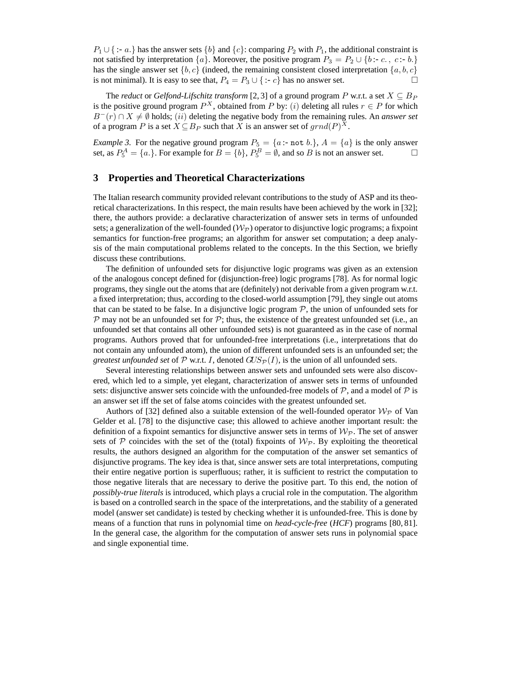$P_1 \cup \{\text{:- } a.\}$  has the answer sets  $\{b\}$  and  $\{c\}$ : comparing  $P_2$  with  $P_1$ , the additional constraint is not satisfied by interpretation  $\{a\}$ . Moreover, the positive program  $P_3 = P_2 \cup \{b : -c_1, c : -b_1\}$ has the single answer set  $\{b, c\}$  (indeed, the remaining consistent closed interpretation  $\{a, b, c\}$ is not minimal). It is easy to see that,  $P_4 = P_3 \cup \{-c\}$  has no answer set.

The *reduct* or *Gelfond-Lifschitz transform* [2, 3] of a ground program P w.r.t. a set  $X \subseteq B_P$ is the positive ground program  $P^X$ , obtained from P by: (i) deleting all rules  $r \in P$  for which  $B^-(r) \cap X \neq \emptyset$  holds; (ii) deleting the negative body from the remaining rules. An *answer set* of a program P is a set  $X \subseteq B_P$  such that X is an answer set of  $grad(P)^X$ .

*Example* 3. For the negative ground program  $P_5 = \{a : \text{not } b.\}$ ,  $A = \{a\}$  is the only answer set, as  $P_5^A = \{a.\}$ . For example for  $B = \{b\}$ ,  $P_5^B = \emptyset$ , and so B is not an answer set.

# **3 Properties and Theoretical Characterizations**

The Italian research community provided relevant contributions to the study of ASP and its theoretical characterizations. In this respect, the main results have been achieved by the work in [32]; there, the authors provide: a declarative characterization of answer sets in terms of unfounded sets; a generalization of the well-founded  $(\mathcal{W}_{\mathcal{P}})$  operator to disjunctive logic programs; a fixpoint semantics for function-free programs; an algorithm for answer set computation; a deep analysis of the main computational problems related to the concepts. In the this Section, we briefly discuss these contributions.

The definition of unfounded sets for disjunctive logic programs was given as an extension of the analogous concept defined for (disjunction-free) logic programs [78]. As for normal logic programs, they single out the atoms that are (definitely) not derivable from a given program w.r.t. a fixed interpretation; thus, according to the closed-world assumption [79], they single out atoms that can be stated to be false. In a disjunctive logic program  $P$ , the union of unfounded sets for  $\mathcal P$  may not be an unfounded set for  $\mathcal P$ ; thus, the existence of the greatest unfounded set (i.e., an unfounded set that contains all other unfounded sets) is not guaranteed as in the case of normal programs. Authors proved that for unfounded-free interpretations (i.e., interpretations that do not contain any unfounded atom), the union of different unfounded sets is an unfounded set; the *greatest unfounded set* of  $P$  w.r.t. I, denoted  $GUS_{P}(I)$ , is the union of all unfounded sets.

Several interesting relationships between answer sets and unfounded sets were also discovered, which led to a simple, yet elegant, characterization of answer sets in terms of unfounded sets: disjunctive answer sets coincide with the unfounded-free models of  $P$ , and a model of  $P$  is an answer set iff the set of false atoms coincides with the greatest unfounded set.

Authors of [32] defined also a suitable extension of the well-founded operator  $W_{\mathcal{P}}$  of Van Gelder et al. [78] to the disjunctive case; this allowed to achieve another important result: the definition of a fixpoint semantics for disjunctive answer sets in terms of  $\mathcal{W}_{\mathcal{P}}$ . The set of answer sets of P coincides with the set of the (total) fixpoints of  $W_{\mathcal{P}}$ . By exploiting the theoretical results, the authors designed an algorithm for the computation of the answer set semantics of disjunctive programs. The key idea is that, since answer sets are total interpretations, computing their entire negative portion is superfluous; rather, it is sufficient to restrict the computation to those negative literals that are necessary to derive the positive part. To this end, the notion of *possibly-true literals* is introduced, which plays a crucial role in the computation. The algorithm is based on a controlled search in the space of the interpretations, and the stability of a generated model (answer set candidate) is tested by checking whether it is unfounded-free. This is done by means of a function that runs in polynomial time on *head-cycle-free* (*HCF*) programs [80, 81]. In the general case, the algorithm for the computation of answer sets runs in polynomial space and single exponential time.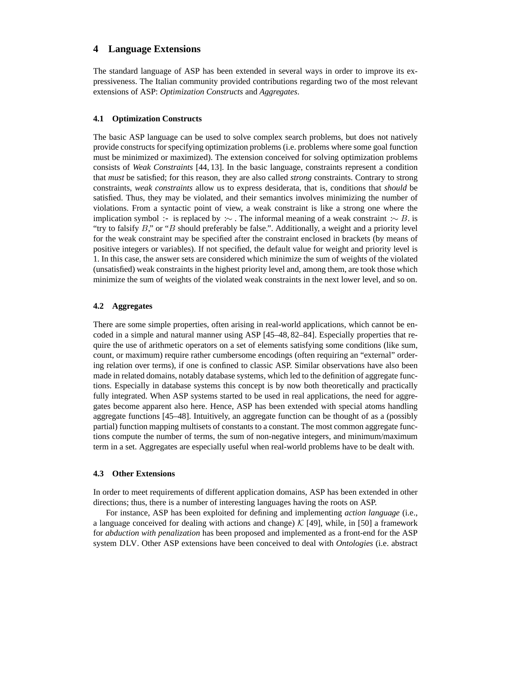# **4 Language Extensions**

The standard language of ASP has been extended in several ways in order to improve its expressiveness. The Italian community provided contributions regarding two of the most relevant extensions of ASP: *Optimization Constructs* and *Aggregates*.

#### **4.1 Optimization Constructs**

The basic ASP language can be used to solve complex search problems, but does not natively provide constructs for specifying optimization problems (i.e. problems where some goal function must be minimized or maximized). The extension conceived for solving optimization problems consists of *Weak Constraints* [44, 13]. In the basic language, constraints represent a condition that *must* be satisfied; for this reason, they are also called *strong* constraints. Contrary to strong constraints, *weak constraints* allow us to express desiderata, that is, conditions that *should* be satisfied. Thus, they may be violated, and their semantics involves minimizing the number of violations. From a syntactic point of view, a weak constraint is like a strong one where the implication symbol :– is replaced by :∼ . The informal meaning of a weak constraint : $∼ B$ . is "try to falsify  $B$ ," or "B should preferably be false.". Additionally, a weight and a priority level for the weak constraint may be specified after the constraint enclosed in brackets (by means of positive integers or variables). If not specified, the default value for weight and priority level is 1. In this case, the answer sets are considered which minimize the sum of weights of the violated (unsatisfied) weak constraints in the highest priority level and, among them, are took those which minimize the sum of weights of the violated weak constraints in the next lower level, and so on.

#### **4.2 Aggregates**

There are some simple properties, often arising in real-world applications, which cannot be encoded in a simple and natural manner using ASP [45–48, 82–84]. Especially properties that require the use of arithmetic operators on a set of elements satisfying some conditions (like sum, count, or maximum) require rather cumbersome encodings (often requiring an "external" ordering relation over terms), if one is confined to classic ASP. Similar observations have also been made in related domains, notably database systems, which led to the definition of aggregate functions. Especially in database systems this concept is by now both theoretically and practically fully integrated. When ASP systems started to be used in real applications, the need for aggregates become apparent also here. Hence, ASP has been extended with special atoms handling aggregate functions [45–48]. Intuitively, an aggregate function can be thought of as a (possibly partial) function mapping multisets of constants to a constant. The most common aggregate functions compute the number of terms, the sum of non-negative integers, and minimum/maximum term in a set. Aggregates are especially useful when real-world problems have to be dealt with.

#### **4.3 Other Extensions**

In order to meet requirements of different application domains, ASP has been extended in other directions; thus, there is a number of interesting languages having the roots on ASP.

For instance, ASP has been exploited for defining and implementing *action language* (i.e., a language conceived for dealing with actions and change)  $\mathcal{K}$  [49], while, in [50] a framework for *abduction with penalization* has been proposed and implemented as a front-end for the ASP system DLV. Other ASP extensions have been conceived to deal with *Ontologies* (i.e. abstract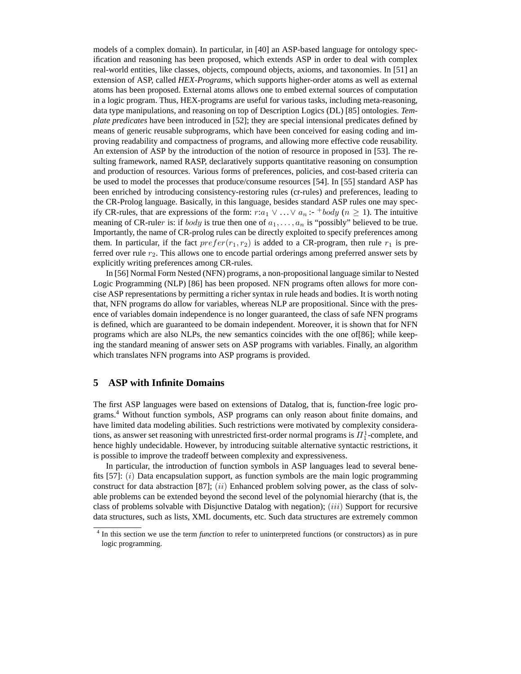models of a complex domain). In particular, in [40] an ASP-based language for ontology specification and reasoning has been proposed, which extends ASP in order to deal with complex real-world entities, like classes, objects, compound objects, axioms, and taxonomies. In [51] an extension of ASP, called *HEX-Programs*, which supports higher-order atoms as well as external atoms has been proposed. External atoms allows one to embed external sources of computation in a logic program. Thus, HEX-programs are useful for various tasks, including meta-reasoning, data type manipulations, and reasoning on top of Description Logics (DL) [85] ontologies. *Template predicates* have been introduced in [52]; they are special intensional predicates defined by means of generic reusable subprograms, which have been conceived for easing coding and improving readability and compactness of programs, and allowing more effective code reusability. An extension of ASP by the introduction of the notion of resource in proposed in [53]. The resulting framework, named RASP, declaratively supports quantitative reasoning on consumption and production of resources. Various forms of preferences, policies, and cost-based criteria can be used to model the processes that produce/consume resources [54]. In [55] standard ASP has been enriched by introducing consistency-restoring rules (cr-rules) and preferences, leading to the CR-Prolog language. Basically, in this language, besides standard ASP rules one may specify CR-rules, that are expressions of the form:  $r:a_1 \vee ... \vee a_n : - \dagger body \ (n \geq 1)$ . The intuitive meaning of CR-ruler is: if *body* is true then one of  $a_1, \ldots, a_n$  is "possibly" believed to be true. Importantly, the name of CR-prolog rules can be directly exploited to specify preferences among them. In particular, if the fact  $prefer(r_1, r_2)$  is added to a CR-program, then rule  $r_1$  is preferred over rule  $r<sub>2</sub>$ . This allows one to encode partial orderings among preferred answer sets by explicitly writing preferences among CR-rules.

In [56] Normal Form Nested (NFN) programs, a non-propositional language similar to Nested Logic Programming (NLP) [86] has been proposed. NFN programs often allows for more concise ASP representations by permitting a richer syntax in rule heads and bodies. It is worth noting that, NFN programs do allow for variables, whereas NLP are propositional. Since with the presence of variables domain independence is no longer guaranteed, the class of safe NFN programs is defined, which are guaranteed to be domain independent. Moreover, it is shown that for NFN programs which are also NLPs, the new semantics coincides with the one of[86]; while keeping the standard meaning of answer sets on ASP programs with variables. Finally, an algorithm which translates NFN programs into ASP programs is provided.

### **5 ASP with Infinite Domains**

The first ASP languages were based on extensions of Datalog, that is, function-free logic programs.<sup>4</sup> Without function symbols, ASP programs can only reason about finite domains, and have limited data modeling abilities. Such restrictions were motivated by complexity considerations, as answer set reasoning with unrestricted first-order normal programs is  $\Pi^1_1$ -complete, and hence highly undecidable. However, by introducing suitable alternative syntactic restrictions, it is possible to improve the tradeoff between complexity and expressiveness.

In particular, the introduction of function symbols in ASP languages lead to several benefits  $[57]$ : (i) Data encapsulation support, as function symbols are the main logic programming construct for data abstraction [87];  $(ii)$  Enhanced problem solving power, as the class of solvable problems can be extended beyond the second level of the polynomial hierarchy (that is, the class of problems solvable with Disjunctive Datalog with negation);  $(iii)$  Support for recursive data structures, such as lists, XML documents, etc. Such data structures are extremely common

<sup>&</sup>lt;sup>4</sup> In this section we use the term *function* to refer to uninterpreted functions (or constructors) as in pure logic programming.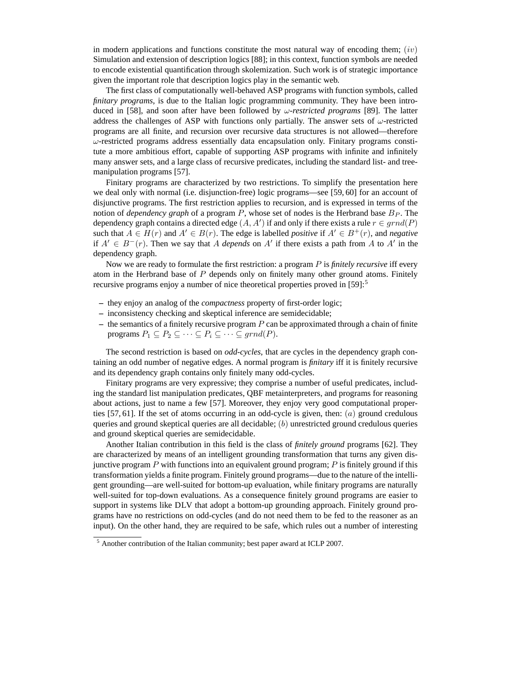in modern applications and functions constitute the most natural way of encoding them;  $(iv)$ Simulation and extension of description logics [88]; in this context, function symbols are needed to encode existential quantification through skolemization. Such work is of strategic importance given the important role that description logics play in the semantic web.

The first class of computationally well-behaved ASP programs with function symbols, called *finitary programs*, is due to the Italian logic programming community. They have been introduced in [58], and soon after have been followed by ω*-restricted programs* [89]. The latter address the challenges of ASP with functions only partially. The answer sets of  $\omega$ -restricted programs are all finite, and recursion over recursive data structures is not allowed—therefore  $\omega$ -restricted programs address essentially data encapsulation only. Finitary programs constitute a more ambitious effort, capable of supporting ASP programs with infinite and infinitely many answer sets, and a large class of recursive predicates, including the standard list- and treemanipulation programs [57].

Finitary programs are characterized by two restrictions. To simplify the presentation here we deal only with normal (i.e. disjunction-free) logic programs—see [59, 60] for an account of disjunctive programs. The first restriction applies to recursion, and is expressed in terms of the notion of *dependency graph* of a program P, whose set of nodes is the Herbrand base  $B<sub>P</sub>$ . The dependency graph contains a directed edge  $(A, A')$  if and only if there exists a rule  $r \in grad(P)$ such that  $A \in H(r)$  and  $A' \in B(r)$ . The edge is labelled *positive* if  $A' \in B^+(r)$ , and *negative* if  $A' \in B^-(r)$ . Then we say that A *depends* on A' if there exists a path from A to A' in the dependency graph.

Now we are ready to formulate the first restriction: a program P is *finitely recursive* iff every atom in the Herbrand base of  $P$  depends only on finitely many other ground atoms. Finitely recursive programs enjoy a number of nice theoretical properties proved in [59]:<sup>5</sup>

- **–** they enjoy an analog of the *compactness* property of first-order logic;
- **–** inconsistency checking and skeptical inference are semidecidable;
- $-$  the semantics of a finitely recursive program  $P$  can be approximated through a chain of finite programs  $P_1 \subseteq P_2 \subseteq \cdots \subseteq P_i \subseteq \cdots \subseteq \text{grad}(P)$ .

The second restriction is based on *odd-cycles*, that are cycles in the dependency graph containing an odd number of negative edges. A normal program is *finitary* iff it is finitely recursive and its dependency graph contains only finitely many odd-cycles.

Finitary programs are very expressive; they comprise a number of useful predicates, including the standard list manipulation predicates, QBF metainterpreters, and programs for reasoning about actions, just to name a few [57]. Moreover, they enjoy very good computational properties [57, 61]. If the set of atoms occurring in an odd-cycle is given, then:  $(a)$  ground credulous queries and ground skeptical queries are all decidable;  $(b)$  unrestricted ground credulous queries and ground skeptical queries are semidecidable.

Another Italian contribution in this field is the class of *finitely ground* programs [62]. They are characterized by means of an intelligent grounding transformation that turns any given disjunctive program  $P$  with functions into an equivalent ground program;  $P$  is finitely ground if this transformation yields a finite program. Finitely ground programs—due to the nature of the intelligent grounding—are well-suited for bottom-up evaluation, while finitary programs are naturally well-suited for top-down evaluations. As a consequence finitely ground programs are easier to support in systems like DLV that adopt a bottom-up grounding approach. Finitely ground programs have no restrictions on odd-cycles (and do not need them to be fed to the reasoner as an input). On the other hand, they are required to be safe, which rules out a number of interesting

<sup>5</sup> Another contribution of the Italian community; best paper award at ICLP 2007.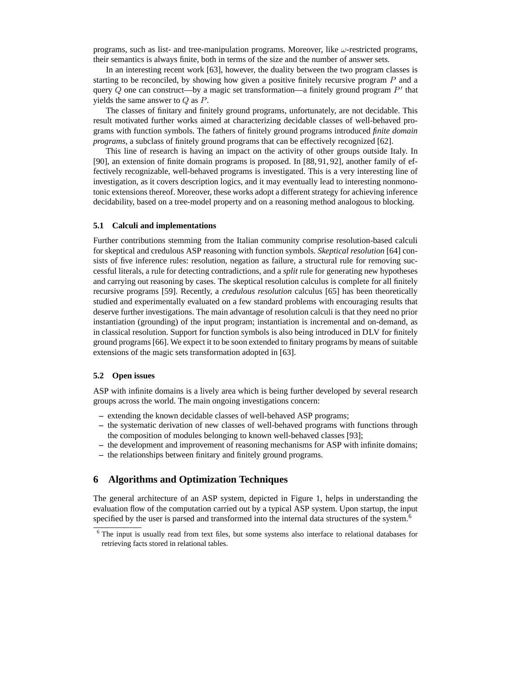programs, such as list- and tree-manipulation programs. Moreover, like  $\omega$ -restricted programs, their semantics is always finite, both in terms of the size and the number of answer sets.

In an interesting recent work [63], however, the duality between the two program classes is starting to be reconciled, by showing how given a positive finitely recursive program  $P$  and a query  $Q$  one can construct—by a magic set transformation—a finitely ground program  $P'$  that yields the same answer to  $Q$  as  $P$ .

The classes of finitary and finitely ground programs, unfortunately, are not decidable. This result motivated further works aimed at characterizing decidable classes of well-behaved programs with function symbols. The fathers of finitely ground programs introduced *finite domain programs*, a subclass of finitely ground programs that can be effectively recognized [62].

This line of research is having an impact on the activity of other groups outside Italy. In [90], an extension of finite domain programs is proposed. In [88, 91, 92], another family of effectively recognizable, well-behaved programs is investigated. This is a very interesting line of investigation, as it covers description logics, and it may eventually lead to interesting nonmonotonic extensions thereof. Moreover, these works adopt a different strategy for achieving inference decidability, based on a tree-model property and on a reasoning method analogous to blocking.

#### **5.1 Calculi and implementations**

Further contributions stemming from the Italian community comprise resolution-based calculi for skeptical and credulous ASP reasoning with function symbols. *Skeptical resolution* [64] consists of five inference rules: resolution, negation as failure, a structural rule for removing successful literals, a rule for detecting contradictions, and a *split* rule for generating new hypotheses and carrying out reasoning by cases. The skeptical resolution calculus is complete for all finitely recursive programs [59]. Recently, a *credulous resolution* calculus [65] has been theoretically studied and experimentally evaluated on a few standard problems with encouraging results that deserve further investigations. The main advantage of resolution calculi is that they need no prior instantiation (grounding) of the input program; instantiation is incremental and on-demand, as in classical resolution. Support for function symbols is also being introduced in DLV for finitely ground programs [66]. We expect it to be soon extended to finitary programs by means of suitable extensions of the magic sets transformation adopted in [63].

#### **5.2 Open issues**

ASP with infinite domains is a lively area which is being further developed by several research groups across the world. The main ongoing investigations concern:

- **–** extending the known decidable classes of well-behaved ASP programs;
- **–** the systematic derivation of new classes of well-behaved programs with functions through the composition of modules belonging to known well-behaved classes [93];
- **–** the development and improvement of reasoning mechanisms for ASP with infinite domains;
- **–** the relationships between finitary and finitely ground programs.

### **6 Algorithms and Optimization Techniques**

The general architecture of an ASP system, depicted in Figure 1, helps in understanding the evaluation flow of the computation carried out by a typical ASP system. Upon startup, the input specified by the user is parsed and transformed into the internal data structures of the system.<sup>6</sup>

<sup>6</sup> The input is usually read from text files, but some systems also interface to relational databases for retrieving facts stored in relational tables.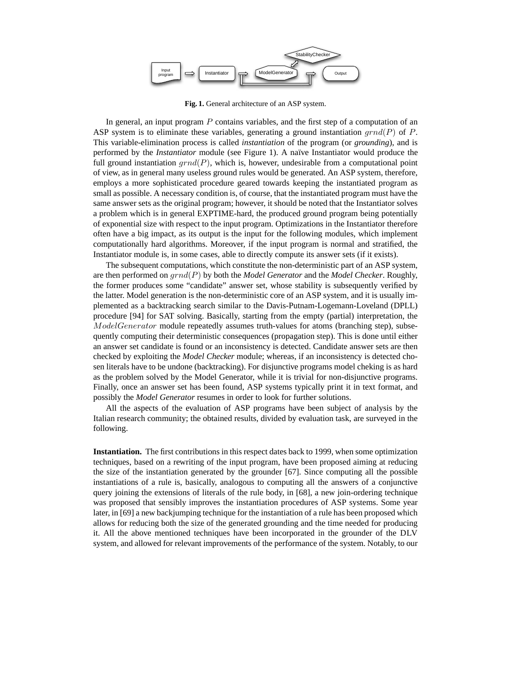

**Fig. 1.** General architecture of an ASP system.

In general, an input program  $P$  contains variables, and the first step of a computation of an ASP system is to eliminate these variables, generating a ground instantiation  $grnd(P)$  of P. This variable-elimination process is called *instantiation* of the program (or *grounding*), and is performed by the *Instantiator* module (see Figure 1). A naïve Instantiator would produce the full ground instantiation  $grad(P)$ , which is, however, undesirable from a computational point of view, as in general many useless ground rules would be generated. An ASP system, therefore, employs a more sophisticated procedure geared towards keeping the instantiated program as small as possible. A necessary condition is, of course, that the instantiated program must have the same answer sets as the original program; however, it should be noted that the Instantiator solves a problem which is in general EXPTIME-hard, the produced ground program being potentially of exponential size with respect to the input program. Optimizations in the Instantiator therefore often have a big impact, as its output is the input for the following modules, which implement computationally hard algorithms. Moreover, if the input program is normal and stratified, the Instantiator module is, in some cases, able to directly compute its answer sets (if it exists).

The subsequent computations, which constitute the non-deterministic part of an ASP system, are then performed on grnd(P) by both the *Model Generator* and the *Model Checker*. Roughly, the former produces some "candidate" answer set, whose stability is subsequently verified by the latter. Model generation is the non-deterministic core of an ASP system, and it is usually implemented as a backtracking search similar to the Davis-Putnam-Logemann-Loveland (DPLL) procedure [94] for SAT solving. Basically, starting from the empty (partial) interpretation, the ModelGenerator module repeatedly assumes truth-values for atoms (branching step), subsequently computing their deterministic consequences (propagation step). This is done until either an answer set candidate is found or an inconsistency is detected. Candidate answer sets are then checked by exploiting the *Model Checker* module; whereas, if an inconsistency is detected chosen literals have to be undone (backtracking). For disjunctive programs model cheking is as hard as the problem solved by the Model Generator, while it is trivial for non-disjunctive programs. Finally, once an answer set has been found, ASP systems typically print it in text format, and possibly the *Model Generator* resumes in order to look for further solutions.

All the aspects of the evaluation of ASP programs have been subject of analysis by the Italian research community; the obtained results, divided by evaluation task, are surveyed in the following.

**Instantiation.** The first contributions in this respect dates back to 1999, when some optimization techniques, based on a rewriting of the input program, have been proposed aiming at reducing the size of the instantiation generated by the grounder [67]. Since computing all the possible instantiations of a rule is, basically, analogous to computing all the answers of a conjunctive query joining the extensions of literals of the rule body, in [68], a new join-ordering technique was proposed that sensibly improves the instantiation procedures of ASP systems. Some year later, in [69] a new backjumping technique for the instantiation of a rule has been proposed which allows for reducing both the size of the generated grounding and the time needed for producing it. All the above mentioned techniques have been incorporated in the grounder of the DLV system, and allowed for relevant improvements of the performance of the system. Notably, to our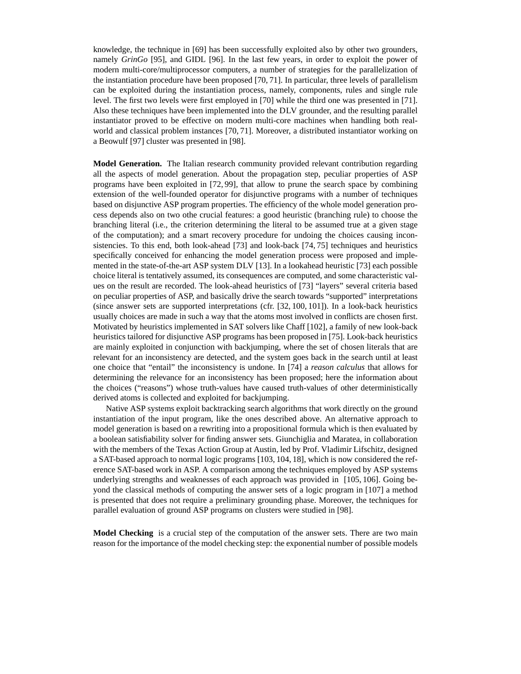knowledge, the technique in [69] has been successfully exploited also by other two grounders, namely *GrinGo* [95], and GIDL [96]. In the last few years, in order to exploit the power of modern multi-core/multiprocessor computers, a number of strategies for the parallelization of the instantiation procedure have been proposed [70, 71]. In particular, three levels of parallelism can be exploited during the instantiation process, namely, components, rules and single rule level. The first two levels were first employed in [70] while the third one was presented in [71]. Also these techniques have been implemented into the DLV grounder, and the resulting parallel instantiator proved to be effective on modern multi-core machines when handling both realworld and classical problem instances [70, 71]. Moreover, a distributed instantiator working on a Beowulf [97] cluster was presented in [98].

**Model Generation.** The Italian research community provided relevant contribution regarding all the aspects of model generation. About the propagation step, peculiar properties of ASP programs have been exploited in [72, 99], that allow to prune the search space by combining extension of the well-founded operator for disjunctive programs with a number of techniques based on disjunctive ASP program properties. The efficiency of the whole model generation process depends also on two othe crucial features: a good heuristic (branching rule) to choose the branching literal (i.e., the criterion determining the literal to be assumed true at a given stage of the computation); and a smart recovery procedure for undoing the choices causing inconsistencies. To this end, both look-ahead [73] and look-back [74, 75] techniques and heuristics specifically conceived for enhancing the model generation process were proposed and implemented in the state-of-the-art ASP system DLV [13]. In a lookahead heuristic [73] each possible choice literal is tentatively assumed, its consequences are computed, and some characteristic values on the result are recorded. The look-ahead heuristics of [73] "layers" several criteria based on peculiar properties of ASP, and basically drive the search towards "supported" interpretations (since answer sets are supported interpretations (cfr. [32, 100, 101]). In a look-back heuristics usually choices are made in such a way that the atoms most involved in conflicts are chosen first. Motivated by heuristics implemented in SAT solvers like Chaff [102], a family of new look-back heuristics tailored for disjunctive ASP programs has been proposed in [75]. Look-back heuristics are mainly exploited in conjunction with backjumping, where the set of chosen literals that are relevant for an inconsistency are detected, and the system goes back in the search until at least one choice that "entail" the inconsistency is undone. In [74] a *reason calculus* that allows for determining the relevance for an inconsistency has been proposed; here the information about the choices ("reasons") whose truth-values have caused truth-values of other deterministically derived atoms is collected and exploited for backjumping.

Native ASP systems exploit backtracking search algorithms that work directly on the ground instantiation of the input program, like the ones described above. An alternative approach to model generation is based on a rewriting into a propositional formula which is then evaluated by a boolean satisfiability solver for finding answer sets. Giunchiglia and Maratea, in collaboration with the members of the Texas Action Group at Austin, led by Prof. Vladimir Lifschitz, designed a SAT-based approach to normal logic programs [103, 104, 18], which is now considered the reference SAT-based work in ASP. A comparison among the techniques employed by ASP systems underlying strengths and weaknesses of each approach was provided in [105, 106]. Going beyond the classical methods of computing the answer sets of a logic program in [107] a method is presented that does not require a preliminary grounding phase. Moreover, the techniques for parallel evaluation of ground ASP programs on clusters were studied in [98].

**Model Checking** is a crucial step of the computation of the answer sets. There are two main reason for the importance of the model checking step: the exponential number of possible models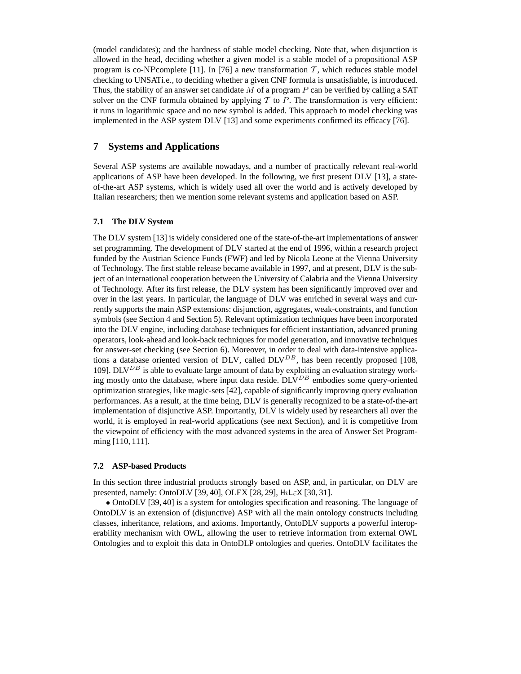(model candidates); and the hardness of stable model checking. Note that, when disjunction is allowed in the head, deciding whether a given model is a stable model of a propositional ASP program is co-NPcomplete [11]. In [76] a new transformation  $\mathcal{T}$ , which reduces stable model checking to UNSATi.e., to deciding whether a given CNF formula is unsatisfiable, is introduced. Thus, the stability of an answer set candidate  $M$  of a program  $P$  can be verified by calling a SAT solver on the CNF formula obtained by applying  $\mathcal T$  to  $P$ . The transformation is very efficient: it runs in logarithmic space and no new symbol is added. This approach to model checking was implemented in the ASP system DLV [13] and some experiments confirmed its efficacy [76].

# **7 Systems and Applications**

Several ASP systems are available nowadays, and a number of practically relevant real-world applications of ASP have been developed. In the following, we first present DLV [13], a stateof-the-art ASP systems, which is widely used all over the world and is actively developed by Italian researchers; then we mention some relevant systems and application based on ASP.

### **7.1 The DLV System**

The DLV system [13] is widely considered one of the state-of-the-art implementations of answer set programming. The development of DLV started at the end of 1996, within a research project funded by the Austrian Science Funds (FWF) and led by Nicola Leone at the Vienna University of Technology. The first stable release became available in 1997, and at present, DLV is the subject of an international cooperation between the University of Calabria and the Vienna University of Technology. After its first release, the DLV system has been significantly improved over and over in the last years. In particular, the language of DLV was enriched in several ways and currently supports the main ASP extensions: disjunction, aggregates, weak-constraints, and function symbols (see Section 4 and Section 5). Relevant optimization techniques have been incorporated into the DLV engine, including database techniques for efficient instantiation, advanced pruning operators, look-ahead and look-back techniques for model generation, and innovative techniques for answer-set checking (see Section 6). Moreover, in order to deal with data-intensive applications a database oriented version of DLV, called  $DLV^{DB}$ , has been recently proposed [108, 109]. DLV<sup>DB</sup> is able to evaluate large amount of data by exploiting an evaluation strategy working mostly onto the database, where input data reside.  $DLV^{DB}$  embodies some query-oriented optimization strategies, like magic-sets [42], capable of significantly improving query evaluation performances. As a result, at the time being, DLV is generally recognized to be a state-of-the-art implementation of disjunctive ASP. Importantly, DLV is widely used by researchers all over the world, it is employed in real-world applications (see next Section), and it is competitive from the viewpoint of efficiency with the most advanced systems in the area of Answer Set Programming [110, 111].

### **7.2 ASP-based Products**

In this section three industrial products strongly based on ASP, and, in particular, on DLV are presented, namely: OntoDLV [39, 40], OLEX [28, 29], HıLεX [30, 31].

• OntoDLV [39, 40] is a system for ontologies specification and reasoning. The language of OntoDLV is an extension of (disjunctive) ASP with all the main ontology constructs including classes, inheritance, relations, and axioms. Importantly, OntoDLV supports a powerful interoperability mechanism with OWL, allowing the user to retrieve information from external OWL Ontologies and to exploit this data in OntoDLP ontologies and queries. OntoDLV facilitates the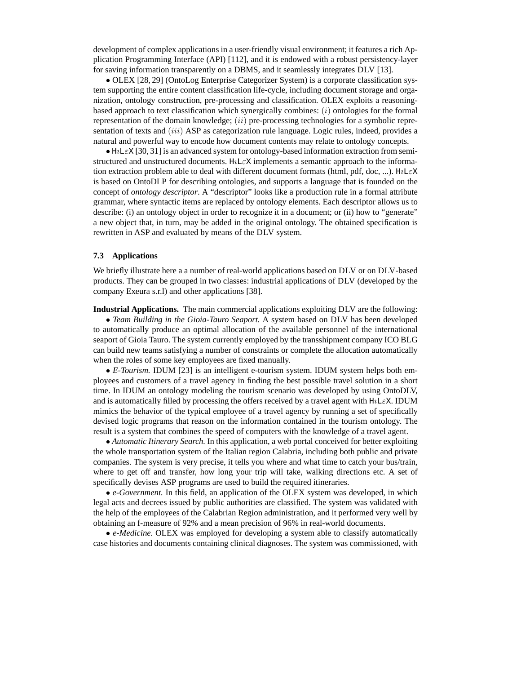development of complex applications in a user-friendly visual environment; it features a rich Application Programming Interface (API) [112], and it is endowed with a robust persistency-layer for saving information transparently on a DBMS, and it seamlessly integrates DLV [13].

• OLEX [28, 29] (OntoLog Enterprise Categorizer System) is a corporate classification system supporting the entire content classification life-cycle, including document storage and organization, ontology construction, pre-processing and classification. OLEX exploits a reasoningbased approach to text classification which synergically combines:  $(i)$  ontologies for the formal representation of the domain knowledge;  $(ii)$  pre-processing technologies for a symbolic representation of texts and (iii) ASP as categorization rule language. Logic rules, indeed, provides a natural and powerful way to encode how document contents may relate to ontology concepts.

• H $t \leq X$  [30, 31] is an advanced system for ontology-based information extraction from semistructured and unstructured documents.  $H \iota L \in X$  implements a semantic approach to the information extraction problem able to deal with different document formats (html, pdf, doc, ...). H $\iota$ L $\epsilon$ X is based on OntoDLP for describing ontologies, and supports a language that is founded on the concept of *ontology descriptor*. A "descriptor" looks like a production rule in a formal attribute grammar, where syntactic items are replaced by ontology elements. Each descriptor allows us to describe: (i) an ontology object in order to recognize it in a document; or (ii) how to "generate" a new object that, in turn, may be added in the original ontology. The obtained specification is rewritten in ASP and evaluated by means of the DLV system.

#### **7.3 Applications**

We briefly illustrate here a a number of real-world applications based on DLV or on DLV-based products. They can be grouped in two classes: industrial applications of DLV (developed by the company Exeura s.r.l) and other applications [38].

**Industrial Applications.** The main commercial applications exploiting DLV are the following:

• *Team Building in the Gioia-Tauro Seaport.* A system based on DLV has been developed to automatically produce an optimal allocation of the available personnel of the international seaport of Gioia Tauro. The system currently employed by the transshipment company ICO BLG can build new teams satisfying a number of constraints or complete the allocation automatically when the roles of some key employees are fixed manually.

• *E-Tourism.* IDUM [23] is an intelligent e-tourism system. IDUM system helps both employees and customers of a travel agency in finding the best possible travel solution in a short time. In IDUM an ontology modeling the tourism scenario was developed by using OntoDLV, and is automatically filled by processing the offers received by a travel agent with  $H \iota \mathbb{L} \epsilon X$ . IDUM mimics the behavior of the typical employee of a travel agency by running a set of specifically devised logic programs that reason on the information contained in the tourism ontology. The result is a system that combines the speed of computers with the knowledge of a travel agent.

• *Automatic Itinerary Search.* In this application, a web portal conceived for better exploiting the whole transportation system of the Italian region Calabria, including both public and private companies. The system is very precise, it tells you where and what time to catch your bus/train, where to get off and transfer, how long your trip will take, walking directions etc. A set of specifically devises ASP programs are used to build the required itineraries.

• *e-Government.* In this field, an application of the OLEX system was developed, in which legal acts and decrees issued by public authorities are classified. The system was validated with the help of the employees of the Calabrian Region administration, and it performed very well by obtaining an f-measure of 92% and a mean precision of 96% in real-world documents.

• *e-Medicine.* OLEX was employed for developing a system able to classify automatically case histories and documents containing clinical diagnoses. The system was commissioned, with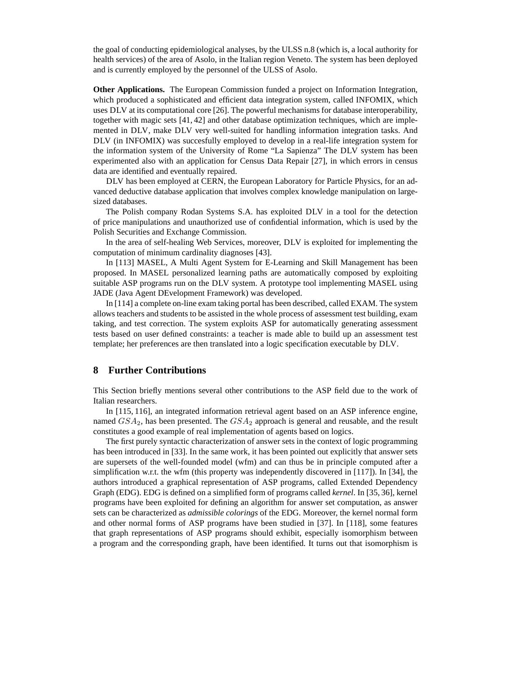the goal of conducting epidemiological analyses, by the ULSS n.8 (which is, a local authority for health services) of the area of Asolo, in the Italian region Veneto. The system has been deployed and is currently employed by the personnel of the ULSS of Asolo.

**Other Applications.** The European Commission funded a project on Information Integration, which produced a sophisticated and efficient data integration system, called INFOMIX, which uses DLV at its computational core [26]. The powerful mechanisms for database interoperability, together with magic sets [41, 42] and other database optimization techniques, which are implemented in DLV, make DLV very well-suited for handling information integration tasks. And DLV (in INFOMIX) was succesfully employed to develop in a real-life integration system for the information system of the University of Rome "La Sapienza" The DLV system has been experimented also with an application for Census Data Repair [27], in which errors in census data are identified and eventually repaired.

DLV has been employed at CERN, the European Laboratory for Particle Physics, for an advanced deductive database application that involves complex knowledge manipulation on largesized databases.

The Polish company Rodan Systems S.A. has exploited DLV in a tool for the detection of price manipulations and unauthorized use of confidential information, which is used by the Polish Securities and Exchange Commission.

In the area of self-healing Web Services, moreover, DLV is exploited for implementing the computation of minimum cardinality diagnoses [43].

In [113] MASEL, A Multi Agent System for E-Learning and Skill Management has been proposed. In MASEL personalized learning paths are automatically composed by exploiting suitable ASP programs run on the DLV system. A prototype tool implementing MASEL using JADE (Java Agent DEvelopment Framework) was developed.

In [114] a complete on-line exam taking portal has been described, called EXAM. The system allows teachers and students to be assisted in the whole process of assessment test building, exam taking, and test correction. The system exploits ASP for automatically generating assessment tests based on user defined constraints: a teacher is made able to build up an assessment test template; her preferences are then translated into a logic specification executable by DLV.

### **8 Further Contributions**

This Section briefly mentions several other contributions to the ASP field due to the work of Italian researchers.

In [115, 116], an integrated information retrieval agent based on an ASP inference engine, named  $GSA<sub>2</sub>$ , has been presented. The  $GSA<sub>2</sub>$  approach is general and reusable, and the result constitutes a good example of real implementation of agents based on logics.

The first purely syntactic characterization of answer sets in the context of logic programming has been introduced in [33]. In the same work, it has been pointed out explicitly that answer sets are supersets of the well-founded model (wfm) and can thus be in principle computed after a simplification w.r.t. the wfm (this property was independently discovered in [117]). In [34], the authors introduced a graphical representation of ASP programs, called Extended Dependency Graph (EDG). EDG is defined on a simplified form of programs called *kernel*. In [35, 36], kernel programs have been exploited for defining an algorithm for answer set computation, as answer sets can be characterized as *admissible colorings* of the EDG. Moreover, the kernel normal form and other normal forms of ASP programs have been studied in [37]. In [118], some features that graph representations of ASP programs should exhibit, especially isomorphism between a program and the corresponding graph, have been identified. It turns out that isomorphism is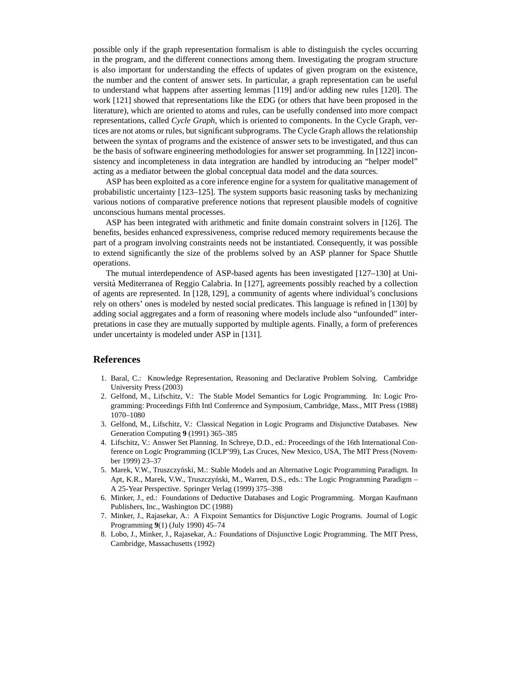possible only if the graph representation formalism is able to distinguish the cycles occurring in the program, and the different connections among them. Investigating the program structure is also important for understanding the effects of updates of given program on the existence, the number and the content of answer sets. In particular, a graph representation can be useful to understand what happens after asserting lemmas [119] and/or adding new rules [120]. The work [121] showed that representations like the EDG (or others that have been proposed in the literature), which are oriented to atoms and rules, can be usefully condensed into more compact representations, called *Cycle Graph*, which is oriented to components. In the Cycle Graph, vertices are not atoms or rules, but significant subprograms. The Cycle Graph allows the relationship between the syntax of programs and the existence of answer sets to be investigated, and thus can be the basis of software engineering methodologies for answer set programming. In [122] inconsistency and incompleteness in data integration are handled by introducing an "helper model" acting as a mediator between the global conceptual data model and the data sources.

ASP has been exploited as a core inference engine for a system for qualitative management of probabilistic uncertainty [123–125]. The system supports basic reasoning tasks by mechanizing various notions of comparative preference notions that represent plausible models of cognitive unconscious humans mental processes.

ASP has been integrated with arithmetic and finite domain constraint solvers in [126]. The benefits, besides enhanced expressiveness, comprise reduced memory requirements because the part of a program involving constraints needs not be instantiated. Consequently, it was possible to extend significantly the size of the problems solved by an ASP planner for Space Shuttle operations.

The mutual interdependence of ASP-based agents has been investigated [127–130] at Universita` Mediterranea of Reggio Calabria. In [127], agreements possibly reached by a collection of agents are represented. In [128, 129], a community of agents where individual's conclusions rely on others' ones is modeled by nested social predicates. This language is refined in [130] by adding social aggregates and a form of reasoning where models include also "unfounded" interpretations in case they are mutually supported by multiple agents. Finally, a form of preferences under uncertainty is modeled under ASP in [131].

### **References**

- 1. Baral, C.: Knowledge Representation, Reasoning and Declarative Problem Solving. Cambridge University Press (2003)
- 2. Gelfond, M., Lifschitz, V.: The Stable Model Semantics for Logic Programming. In: Logic Programming: Proceedings Fifth Intl Conference and Symposium, Cambridge, Mass., MIT Press (1988) 1070–1080
- 3. Gelfond, M., Lifschitz, V.: Classical Negation in Logic Programs and Disjunctive Databases. New Generation Computing **9** (1991) 365–385
- 4. Lifschitz, V.: Answer Set Planning. In Schreye, D.D., ed.: Proceedings of the 16th International Conference on Logic Programming (ICLP'99), Las Cruces, New Mexico, USA, The MIT Press (November 1999) 23–37
- 5. Marek, V.W., Truszczyński, M.: Stable Models and an Alternative Logic Programming Paradigm. In Apt, K.R., Marek, V.W., Truszczyński, M., Warren, D.S., eds.: The Logic Programming Paradigm -A 25-Year Perspective. Springer Verlag (1999) 375–398
- 6. Minker, J., ed.: Foundations of Deductive Databases and Logic Programming. Morgan Kaufmann Publishers, Inc., Washington DC (1988)
- 7. Minker, J., Rajasekar, A.: A Fixpoint Semantics for Disjunctive Logic Programs. Journal of Logic Programming **9**(1) (July 1990) 45–74
- 8. Lobo, J., Minker, J., Rajasekar, A.: Foundations of Disjunctive Logic Programming. The MIT Press, Cambridge, Massachusetts (1992)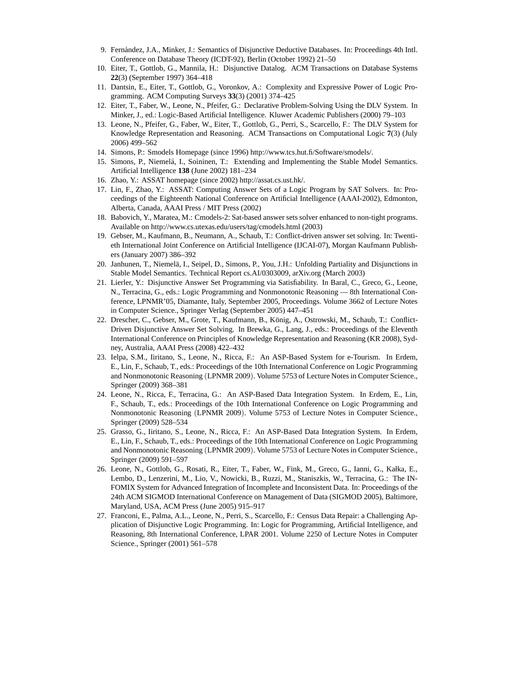- 9. Fernández, J.A., Minker, J.: Semantics of Disjunctive Deductive Databases. In: Proceedings 4th Intl. Conference on Database Theory (ICDT-92), Berlin (October 1992) 21–50
- 10. Eiter, T., Gottlob, G., Mannila, H.: Disjunctive Datalog. ACM Transactions on Database Systems **22**(3) (September 1997) 364–418
- 11. Dantsin, E., Eiter, T., Gottlob, G., Voronkov, A.: Complexity and Expressive Power of Logic Programming. ACM Computing Surveys **33**(3) (2001) 374–425
- 12. Eiter, T., Faber, W., Leone, N., Pfeifer, G.: Declarative Problem-Solving Using the DLV System. In Minker, J., ed.: Logic-Based Artificial Intelligence. Kluwer Academic Publishers (2000) 79–103
- 13. Leone, N., Pfeifer, G., Faber, W., Eiter, T., Gottlob, G., Perri, S., Scarcello, F.: The DLV System for Knowledge Representation and Reasoning. ACM Transactions on Computational Logic **7**(3) (July 2006) 499–562
- 14. Simons, P.: Smodels Homepage (since 1996) http://www.tcs.hut.fi/Software/smodels/.
- 15. Simons, P., Niemelä, I., Soininen, T.: Extending and Implementing the Stable Model Semantics. Artificial Intelligence **138** (June 2002) 181–234
- 16. Zhao, Y.: ASSAT homepage (since 2002) http://assat.cs.ust.hk/.
- 17. Lin, F., Zhao, Y.: ASSAT: Computing Answer Sets of a Logic Program by SAT Solvers. In: Proceedings of the Eighteenth National Conference on Artificial Intelligence (AAAI-2002), Edmonton, Alberta, Canada, AAAI Press / MIT Press (2002)
- 18. Babovich, Y., Maratea, M.: Cmodels-2: Sat-based answer sets solver enhanced to non-tight programs. Available on http://www.cs.utexas.edu/users/tag/cmodels.html (2003)
- 19. Gebser, M., Kaufmann, B., Neumann, A., Schaub, T.: Conflict-driven answer set solving. In: Twentieth International Joint Conference on Artificial Intelligence (IJCAI-07), Morgan Kaufmann Publishers (January 2007) 386–392
- 20. Janhunen, T., Niemelä, I., Seipel, D., Simons, P., You, J.H.: Unfolding Partiality and Disjunctions in Stable Model Semantics. Technical Report cs.AI/0303009, arXiv.org (March 2003)
- 21. Lierler, Y.: Disjunctive Answer Set Programming via Satisfiability. In Baral, C., Greco, G., Leone, N., Terracina, G., eds.: Logic Programming and Nonmonotonic Reasoning — 8th International Conference, LPNMR'05, Diamante, Italy, September 2005, Proceedings. Volume 3662 of Lecture Notes in Computer Science., Springer Verlag (September 2005) 447–451
- 22. Drescher, C., Gebser, M., Grote, T., Kaufmann, B., König, A., Ostrowski, M., Schaub, T.: Conflict-Driven Disjunctive Answer Set Solving. In Brewka, G., Lang, J., eds.: Proceedings of the Eleventh International Conference on Principles of Knowledge Representation and Reasoning (KR 2008), Sydney, Australia, AAAI Press (2008) 422–432
- 23. Ielpa, S.M., Iiritano, S., Leone, N., Ricca, F.: An ASP-Based System for e-Tourism. In Erdem, E., Lin, F., Schaub, T., eds.: Proceedings of the 10th International Conference on Logic Programming and Nonmonotonic Reasoning (LPNMR 2009). Volume 5753 of Lecture Notes in Computer Science., Springer (2009) 368–381
- 24. Leone, N., Ricca, F., Terracina, G.: An ASP-Based Data Integration System. In Erdem, E., Lin, F., Schaub, T., eds.: Proceedings of the 10th International Conference on Logic Programming and Nonmonotonic Reasoning (LPNMR 2009). Volume 5753 of Lecture Notes in Computer Science., Springer (2009) 528–534
- 25. Grasso, G., Iiritano, S., Leone, N., Ricca, F.: An ASP-Based Data Integration System. In Erdem, E., Lin, F., Schaub, T., eds.: Proceedings of the 10th International Conference on Logic Programming and Nonmonotonic Reasoning (LPNMR 2009). Volume 5753 of Lecture Notes in Computer Science., Springer (2009) 591–597
- 26. Leone, N., Gottlob, G., Rosati, R., Eiter, T., Faber, W., Fink, M., Greco, G., Ianni, G., Kałka, E., Lembo, D., Lenzerini, M., Lio, V., Nowicki, B., Ruzzi, M., Staniszkis, W., Terracina, G.: The IN-FOMIX System for Advanced Integration of Incomplete and Inconsistent Data. In: Proceedings of the 24th ACM SIGMOD International Conference on Management of Data (SIGMOD 2005), Baltimore, Maryland, USA, ACM Press (June 2005) 915–917
- 27. Franconi, E., Palma, A.L., Leone, N., Perri, S., Scarcello, F.: Census Data Repair: a Challenging Application of Disjunctive Logic Programming. In: Logic for Programming, Artificial Intelligence, and Reasoning, 8th International Conference, LPAR 2001. Volume 2250 of Lecture Notes in Computer Science., Springer (2001) 561–578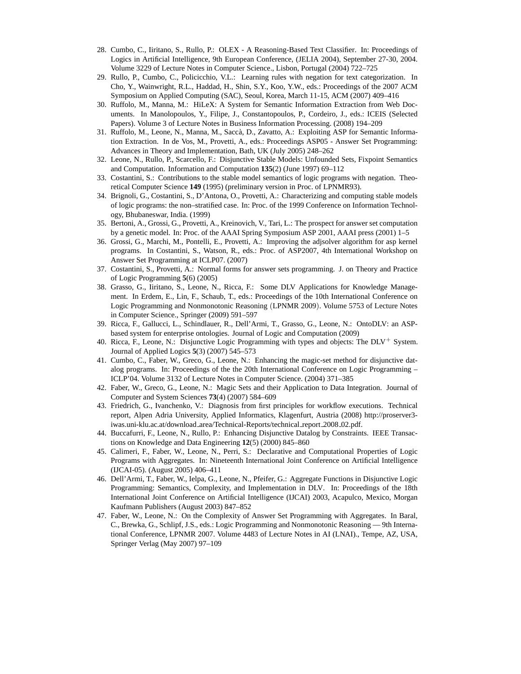- 28. Cumbo, C., Iiritano, S., Rullo, P.: OLEX A Reasoning-Based Text Classifier. In: Proceedings of Logics in Artificial Intelligence, 9th European Conference, (JELIA 2004), September 27-30, 2004. Volume 3229 of Lecture Notes in Computer Science., Lisbon, Portugal (2004) 722–725
- 29. Rullo, P., Cumbo, C., Policicchio, V.L.: Learning rules with negation for text categorization. In Cho, Y., Wainwright, R.L., Haddad, H., Shin, S.Y., Koo, Y.W., eds.: Proceedings of the 2007 ACM Symposium on Applied Computing (SAC), Seoul, Korea, March 11-15, ACM (2007) 409–416
- 30. Ruffolo, M., Manna, M.: HiLeX: A System for Semantic Information Extraction from Web Documents. In Manolopoulos, Y., Filipe, J., Constantopoulos, P., Cordeiro, J., eds.: ICEIS (Selected Papers). Volume 3 of Lecture Notes in Business Information Processing. (2008) 194–209
- 31. Ruffolo, M., Leone, N., Manna, M., Saccà, D., Zavatto, A.: Exploiting ASP for Semantic Information Extraction. In de Vos, M., Provetti, A., eds.: Proceedings ASP05 - Answer Set Programming: Advances in Theory and Implementation, Bath, UK (July 2005) 248–262
- 32. Leone, N., Rullo, P., Scarcello, F.: Disjunctive Stable Models: Unfounded Sets, Fixpoint Semantics and Computation. Information and Computation **135**(2) (June 1997) 69–112
- 33. Costantini, S.: Contributions to the stable model semantics of logic programs with negation. Theoretical Computer Science **149** (1995) (preliminary version in Proc. of LPNMR93).
- 34. Brignoli, G., Costantini, S., D'Antona, O., Provetti, A.: Characterizing and computing stable models of logic programs: the non–stratified case. In: Proc. of the 1999 Conference on Information Technology, Bhubaneswar, India. (1999)
- 35. Bertoni, A., Grossi, G., Provetti, A., Kreinovich, V., Tari, L.: The prospect for answer set computation by a genetic model. In: Proc. of the AAAI Spring Symposium ASP 2001, AAAI press (2001) 1–5
- 36. Grossi, G., Marchi, M., Pontelli, E., Provetti, A.: Improving the adjsolver algorithm for asp kernel programs. In Costantini, S., Watson, R., eds.: Proc. of ASP2007, 4th International Workshop on Answer Set Programming at ICLP07. (2007)
- 37. Costantini, S., Provetti, A.: Normal forms for answer sets programming. J. on Theory and Practice of Logic Programming **5**(6) (2005)
- 38. Grasso, G., Iiritano, S., Leone, N., Ricca, F.: Some DLV Applications for Knowledge Management. In Erdem, E., Lin, F., Schaub, T., eds.: Proceedings of the 10th International Conference on Logic Programming and Nonmonotonic Reasoning (LPNMR 2009). Volume 5753 of Lecture Notes in Computer Science., Springer (2009) 591–597
- 39. Ricca, F., Gallucci, L., Schindlauer, R., Dell'Armi, T., Grasso, G., Leone, N.: OntoDLV: an ASPbased system for enterprise ontologies. Journal of Logic and Computation (2009)
- 40. Ricca, F., Leone, N.: Disjunctive Logic Programming with types and objects: The DLV<sup>+</sup> System. Journal of Applied Logics **5**(3) (2007) 545–573
- 41. Cumbo, C., Faber, W., Greco, G., Leone, N.: Enhancing the magic-set method for disjunctive datalog programs. In: Proceedings of the the 20th International Conference on Logic Programming – ICLP'04. Volume 3132 of Lecture Notes in Computer Science. (2004) 371–385
- 42. Faber, W., Greco, G., Leone, N.: Magic Sets and their Application to Data Integration. Journal of Computer and System Sciences **73**(4) (2007) 584–609
- 43. Friedrich, G., Ivanchenko, V.: Diagnosis from first principles for workflow executions. Technical report, Alpen Adria University, Applied Informatics, Klagenfurt, Austria (2008) http://proserver3 iwas.uni-klu.ac.at/download area/Technical-Reports/technical report 2008 02.pdf.
- 44. Buccafurri, F., Leone, N., Rullo, P.: Enhancing Disjunctive Datalog by Constraints. IEEE Transactions on Knowledge and Data Engineering **12**(5) (2000) 845–860
- 45. Calimeri, F., Faber, W., Leone, N., Perri, S.: Declarative and Computational Properties of Logic Programs with Aggregates. In: Nineteenth International Joint Conference on Artificial Intelligence (IJCAI-05). (August 2005) 406–411
- 46. Dell'Armi, T., Faber, W., Ielpa, G., Leone, N., Pfeifer, G.: Aggregate Functions in Disjunctive Logic Programming: Semantics, Complexity, and Implementation in DLV. In: Proceedings of the 18th International Joint Conference on Artificial Intelligence (IJCAI) 2003, Acapulco, Mexico, Morgan Kaufmann Publishers (August 2003) 847–852
- 47. Faber, W., Leone, N.: On the Complexity of Answer Set Programming with Aggregates. In Baral, C., Brewka, G., Schlipf, J.S., eds.: Logic Programming and Nonmonotonic Reasoning — 9th International Conference, LPNMR 2007. Volume 4483 of Lecture Notes in AI (LNAI)., Tempe, AZ, USA, Springer Verlag (May 2007) 97–109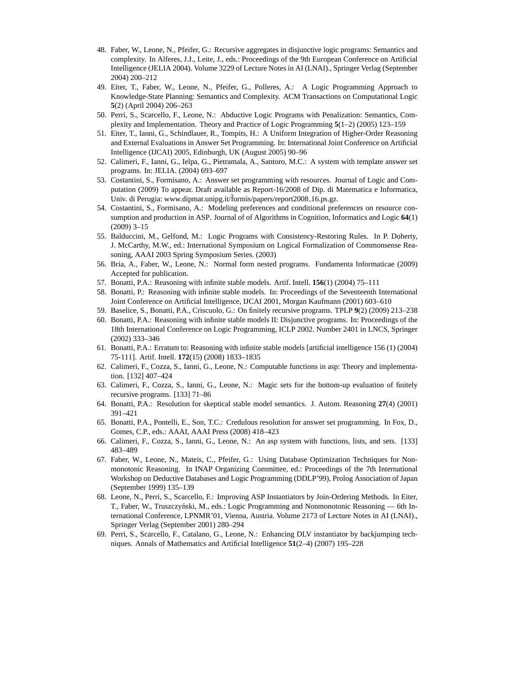- 48. Faber, W., Leone, N., Pfeifer, G.: Recursive aggregates in disjunctive logic programs: Semantics and complexity. In Alferes, J.J., Leite, J., eds.: Proceedings of the 9th European Conference on Artificial Intelligence (JELIA 2004). Volume 3229 of Lecture Notes in AI (LNAI)., Springer Verlag (September 2004) 200–212
- 49. Eiter, T., Faber, W., Leone, N., Pfeifer, G., Polleres, A.: A Logic Programming Approach to Knowledge-State Planning: Semantics and Complexity. ACM Transactions on Computational Logic **5**(2) (April 2004) 206–263
- 50. Perri, S., Scarcello, F., Leone, N.: Abductive Logic Programs with Penalization: Semantics, Complexity and Implementation. Theory and Practice of Logic Programming **5**(1–2) (2005) 123–159
- 51. Eiter, T., Ianni, G., Schindlauer, R., Tompits, H.: A Uniform Integration of Higher-Order Reasoning and External Evaluations in Answer Set Programming. In: International Joint Conference on Artificial Intelligence (IJCAI) 2005, Edinburgh, UK (August 2005) 90–96
- 52. Calimeri, F., Ianni, G., Ielpa, G., Pietramala, A., Santoro, M.C.: A system with template answer set programs. In: JELIA. (2004) 693–697
- 53. Costantini, S., Formisano, A.: Answer set programming with resources. Journal of Logic and Computation (2009) To appear. Draft available as Report-16/2008 of Dip. di Matematica e Informatica, Univ. di Perugia: www.dipmat.unipg.it/formis/papers/report2008\_16.ps.gz.
- 54. Costantini, S., Formisano, A.: Modeling preferences and conditional preferences on resource consumption and production in ASP. Journal of of Algorithms in Cognition, Informatics and Logic **64**(1) (2009) 3–15
- 55. Balduccini, M., Gelfond, M.: Logic Programs with Consistency-Restoring Rules. In P. Doherty, J. McCarthy, M.W., ed.: International Symposium on Logical Formalization of Commonsense Reasoning, AAAI 2003 Spring Symposium Series. (2003)
- 56. Bria, A., Faber, W., Leone, N.: Normal form nested programs. Fundamenta Informaticae (2009) Accepted for publication.
- 57. Bonatti, P.A.: Reasoning with infinite stable models. Artif. Intell. **156**(1) (2004) 75–111
- 58. Bonatti, P.: Reasoning with infinite stable models. In: Proceedings of the Seventeenth International Joint Conference on Artificial Intelligence, IJCAI 2001, Morgan Kaufmann (2001) 603–610
- 59. Baselice, S., Bonatti, P.A., Criscuolo, G.: On finitely recursive programs. TPLP **9**(2) (2009) 213–238
- 60. Bonatti, P.A.: Reasoning with infinite stable models II: Disjunctive programs. In: Proceedings of the 18th International Conference on Logic Programming, ICLP 2002. Number 2401 in LNCS, Springer (2002) 333–346
- 61. Bonatti, P.A.: Erratum to: Reasoning with infinite stable models [artificial intelligence 156 (1) (2004) 75-111]. Artif. Intell. **172**(15) (2008) 1833–1835
- 62. Calimeri, F., Cozza, S., Ianni, G., Leone, N.: Computable functions in asp: Theory and implementation. [132] 407–424
- 63. Calimeri, F., Cozza, S., Ianni, G., Leone, N.: Magic sets for the bottom-up evaluation of finitely recursive programs. [133] 71–86
- 64. Bonatti, P.A.: Resolution for skeptical stable model semantics. J. Autom. Reasoning **27**(4) (2001) 391–421
- 65. Bonatti, P.A., Pontelli, E., Son, T.C.: Credulous resolution for answer set programming. In Fox, D., Gomes, C.P., eds.: AAAI, AAAI Press (2008) 418–423
- 66. Calimeri, F., Cozza, S., Ianni, G., Leone, N.: An asp system with functions, lists, and sets. [133] 483–489
- 67. Faber, W., Leone, N., Mateis, C., Pfeifer, G.: Using Database Optimization Techniques for Nonmonotonic Reasoning. In INAP Organizing Committee, ed.: Proceedings of the 7th International Workshop on Deductive Databases and Logic Programming (DDLP'99), Prolog Association of Japan (September 1999) 135–139
- 68. Leone, N., Perri, S., Scarcello, F.: Improving ASP Instantiators by Join-Ordering Methods. In Eiter, T., Faber, W., Truszczyński, M., eds.: Logic Programming and Nonmonotonic Reasoning — 6th International Conference, LPNMR'01, Vienna, Austria. Volume 2173 of Lecture Notes in AI (LNAI)., Springer Verlag (September 2001) 280–294
- 69. Perri, S., Scarcello, F., Catalano, G., Leone, N.: Enhancing DLV instantiator by backjumping techniques. Annals of Mathematics and Artificial Intelligence **51**(2–4) (2007) 195–228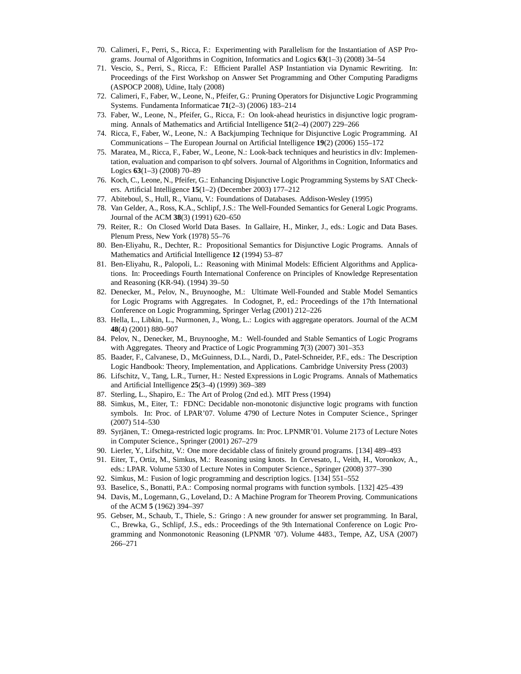- 70. Calimeri, F., Perri, S., Ricca, F.: Experimenting with Parallelism for the Instantiation of ASP Programs. Journal of Algorithms in Cognition, Informatics and Logics **63**(1–3) (2008) 34–54
- 71. Vescio, S., Perri, S., Ricca, F.: Efficient Parallel ASP Instantiation via Dynamic Rewriting. In: Proceedings of the First Workshop on Answer Set Programming and Other Computing Paradigms (ASPOCP 2008), Udine, Italy (2008)
- 72. Calimeri, F., Faber, W., Leone, N., Pfeifer, G.: Pruning Operators for Disjunctive Logic Programming Systems. Fundamenta Informaticae **71**(2–3) (2006) 183–214
- 73. Faber, W., Leone, N., Pfeifer, G., Ricca, F.: On look-ahead heuristics in disjunctive logic programming. Annals of Mathematics and Artificial Intelligence **51**(2–4) (2007) 229–266
- 74. Ricca, F., Faber, W., Leone, N.: A Backjumping Technique for Disjunctive Logic Programming. AI Communications – The European Journal on Artificial Intelligence **19**(2) (2006) 155–172
- 75. Maratea, M., Ricca, F., Faber, W., Leone, N.: Look-back techniques and heuristics in dlv: Implementation, evaluation and comparison to qbf solvers. Journal of Algorithms in Cognition, Informatics and Logics **63**(1–3) (2008) 70–89
- 76. Koch, C., Leone, N., Pfeifer, G.: Enhancing Disjunctive Logic Programming Systems by SAT Checkers. Artificial Intelligence **15**(1–2) (December 2003) 177–212
- 77. Abiteboul, S., Hull, R., Vianu, V.: Foundations of Databases. Addison-Wesley (1995)
- 78. Van Gelder, A., Ross, K.A., Schlipf, J.S.: The Well-Founded Semantics for General Logic Programs. Journal of the ACM **38**(3) (1991) 620–650
- 79. Reiter, R.: On Closed World Data Bases. In Gallaire, H., Minker, J., eds.: Logic and Data Bases. Plenum Press, New York (1978) 55–76
- 80. Ben-Eliyahu, R., Dechter, R.: Propositional Semantics for Disjunctive Logic Programs. Annals of Mathematics and Artificial Intelligence **12** (1994) 53–87
- 81. Ben-Eliyahu, R., Palopoli, L.: Reasoning with Minimal Models: Efficient Algorithms and Applications. In: Proceedings Fourth International Conference on Principles of Knowledge Representation and Reasoning (KR-94). (1994) 39–50
- 82. Denecker, M., Pelov, N., Bruynooghe, M.: Ultimate Well-Founded and Stable Model Semantics for Logic Programs with Aggregates. In Codognet, P., ed.: Proceedings of the 17th International Conference on Logic Programming, Springer Verlag (2001) 212–226
- 83. Hella, L., Libkin, L., Nurmonen, J., Wong, L.: Logics with aggregate operators. Journal of the ACM **48**(4) (2001) 880–907
- 84. Pelov, N., Denecker, M., Bruynooghe, M.: Well-founded and Stable Semantics of Logic Programs with Aggregates. Theory and Practice of Logic Programming **7**(3) (2007) 301–353
- 85. Baader, F., Calvanese, D., McGuinness, D.L., Nardi, D., Patel-Schneider, P.F., eds.: The Description Logic Handbook: Theory, Implementation, and Applications. Cambridge University Press (2003)
- 86. Lifschitz, V., Tang, L.R., Turner, H.: Nested Expressions in Logic Programs. Annals of Mathematics and Artificial Intelligence **25**(3–4) (1999) 369–389
- 87. Sterling, L., Shapiro, E.: The Art of Prolog (2nd ed.). MIT Press (1994)
- 88. Simkus, M., Eiter, T.: FDNC: Decidable non-monotonic disjunctive logic programs with function symbols. In: Proc. of LPAR'07. Volume 4790 of Lecture Notes in Computer Science., Springer (2007) 514–530
- 89. Syrjänen, T.: Omega-restricted logic programs. In: Proc. LPNMR'01. Volume 2173 of Lecture Notes in Computer Science., Springer (2001) 267–279
- 90. Lierler, Y., Lifschitz, V.: One more decidable class of finitely ground programs. [134] 489–493
- 91. Eiter, T., Ortiz, M., Simkus, M.: Reasoning using knots. In Cervesato, I., Veith, H., Voronkov, A., eds.: LPAR. Volume 5330 of Lecture Notes in Computer Science., Springer (2008) 377–390
- 92. Simkus, M.: Fusion of logic programming and description logics. [134] 551–552
- 93. Baselice, S., Bonatti, P.A.: Composing normal programs with function symbols. [132] 425–439
- 94. Davis, M., Logemann, G., Loveland, D.: A Machine Program for Theorem Proving. Communications of the ACM **5** (1962) 394–397
- 95. Gebser, M., Schaub, T., Thiele, S.: Gringo : A new grounder for answer set programming. In Baral, C., Brewka, G., Schlipf, J.S., eds.: Proceedings of the 9th International Conference on Logic Programming and Nonmonotonic Reasoning (LPNMR '07). Volume 4483., Tempe, AZ, USA (2007) 266–271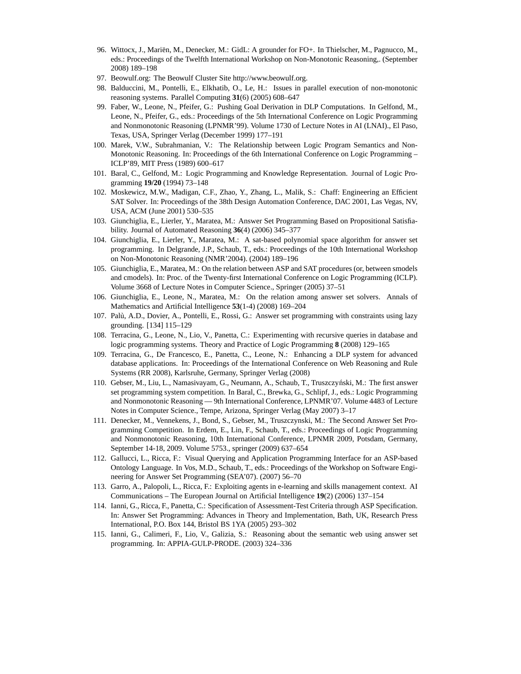- 96. Wittocx, J., Mariën, M., Denecker, M.: GidL: A grounder for FO+. In Thielscher, M., Pagnucco, M., eds.: Proceedings of the Twelfth International Workshop on Non-Monotonic Reasoning,. (September 2008) 189–198
- 97. Beowulf.org: The Beowulf Cluster Site http://www.beowulf.org.
- 98. Balduccini, M., Pontelli, E., Elkhatib, O., Le, H.: Issues in parallel execution of non-monotonic reasoning systems. Parallel Computing **31**(6) (2005) 608–647
- 99. Faber, W., Leone, N., Pfeifer, G.: Pushing Goal Derivation in DLP Computations. In Gelfond, M., Leone, N., Pfeifer, G., eds.: Proceedings of the 5th International Conference on Logic Programming and Nonmonotonic Reasoning (LPNMR'99). Volume 1730 of Lecture Notes in AI (LNAI)., El Paso, Texas, USA, Springer Verlag (December 1999) 177–191
- 100. Marek, V.W., Subrahmanian, V.: The Relationship between Logic Program Semantics and Non-Monotonic Reasoning. In: Proceedings of the 6th International Conference on Logic Programming – ICLP'89, MIT Press (1989) 600–617
- 101. Baral, C., Gelfond, M.: Logic Programming and Knowledge Representation. Journal of Logic Programming **19/20** (1994) 73–148
- 102. Moskewicz, M.W., Madigan, C.F., Zhao, Y., Zhang, L., Malik, S.: Chaff: Engineering an Efficient SAT Solver. In: Proceedings of the 38th Design Automation Conference, DAC 2001, Las Vegas, NV, USA, ACM (June 2001) 530–535
- 103. Giunchiglia, E., Lierler, Y., Maratea, M.: Answer Set Programming Based on Propositional Satisfiability. Journal of Automated Reasoning **36**(4) (2006) 345–377
- 104. Giunchiglia, E., Lierler, Y., Maratea, M.: A sat-based polynomial space algorithm for answer set programming. In Delgrande, J.P., Schaub, T., eds.: Proceedings of the 10th International Workshop on Non-Monotonic Reasoning (NMR'2004). (2004) 189–196
- 105. Giunchiglia, E., Maratea, M.: On the relation between ASP and SAT procedures (or, between smodels and cmodels). In: Proc. of the Twenty-first International Conference on Logic Programming (ICLP). Volume 3668 of Lecture Notes in Computer Science., Springer (2005) 37–51
- 106. Giunchiglia, E., Leone, N., Maratea, M.: On the relation among answer set solvers. Annals of Mathematics and Artificial Intelligence **53**(1-4) (2008) 169–204
- 107. Palù, A.D., Dovier, A., Pontelli, E., Rossi, G.: Answer set programming with constraints using lazy grounding. [134] 115–129
- 108. Terracina, G., Leone, N., Lio, V., Panetta, C.: Experimenting with recursive queries in database and logic programming systems. Theory and Practice of Logic Programming **8** (2008) 129–165
- 109. Terracina, G., De Francesco, E., Panetta, C., Leone, N.: Enhancing a DLP system for advanced database applications. In: Proceedings of the International Conference on Web Reasoning and Rule Systems (RR 2008), Karlsruhe, Germany, Springer Verlag (2008)
- 110. Gebser, M., Liu, L., Namasivayam, G., Neumann, A., Schaub, T., Truszczyński, M.: The first answer set programming system competition. In Baral, C., Brewka, G., Schlipf, J., eds.: Logic Programming and Nonmonotonic Reasoning — 9th International Conference, LPNMR'07. Volume 4483 of Lecture Notes in Computer Science., Tempe, Arizona, Springer Verlag (May 2007) 3–17
- 111. Denecker, M., Vennekens, J., Bond, S., Gebser, M., Truszczynski, M.: The Second Answer Set Programming Competition. In Erdem, E., Lin, F., Schaub, T., eds.: Proceedings of Logic Programming and Nonmonotonic Reasoning, 10th International Conference, LPNMR 2009, Potsdam, Germany, September 14-18, 2009. Volume 5753., springer (2009) 637–654
- 112. Gallucci, L., Ricca, F.: Visual Querying and Application Programming Interface for an ASP-based Ontology Language. In Vos, M.D., Schaub, T., eds.: Proceedings of the Workshop on Software Engineering for Answer Set Programming (SEA'07). (2007) 56–70
- 113. Garro, A., Palopoli, L., Ricca, F.: Exploiting agents in e-learning and skills management context. AI Communications – The European Journal on Artificial Intelligence **19**(2) (2006) 137–154
- 114. Ianni, G., Ricca, F., Panetta, C.: Specification of Assessment-Test Criteria through ASP Specification. In: Answer Set Programming: Advances in Theory and Implementation, Bath, UK, Research Press International, P.O. Box 144, Bristol BS 1YA (2005) 293–302
- 115. Ianni, G., Calimeri, F., Lio, V., Galizia, S.: Reasoning about the semantic web using answer set programming. In: APPIA-GULP-PRODE. (2003) 324–336